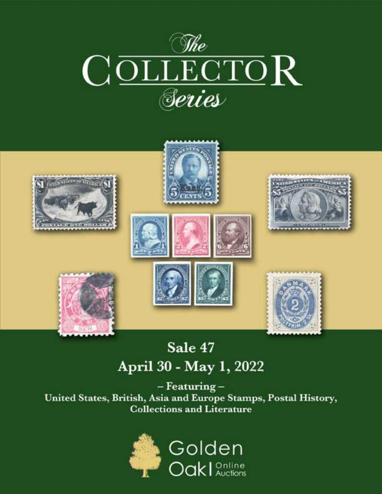



# Sale 47 April 30 - May 1, 2022

- Featuring-United States, British, Asia and Europe Stamps, Postal History, **Collections and Literature** 

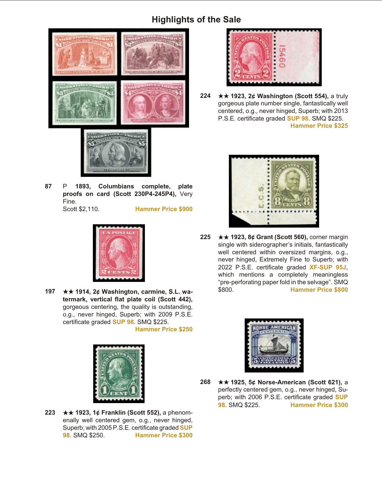

**87** P **1893, Columbians complete, plate proofs on card (Scott 230P4-245P4),** Very Fine. Scott \$2,110. **Hammer Price \$900**



**197 ★★ 1914, 2¢ Washington, carmine, S.L. wa**termark, vertical flat plate coil (Scott 442), gorgeous centering, the quality is outstanding, o.g., never hinged, Superb; with 2009 P.S.E. certificate graded **SUP 98**. SMQ \$225.

**Hammer Price \$250**



**223** ★★ 1923, 1¢ Franklin (Scott 552), a phenomenally well centered gem, o.g., never hinged, Superb; with 2005 P.S.E. certificate graded **SUP 98**. SMQ \$250. **Hammer Price \$300**



**224** ★★ 1923, 2¢ Washington (Scott 554), a truly gorgeous plate number single, fantastically well centered, o.g., never hinged, Superb; with 2013 P.S.E. certificate graded **SUP 98**. SMQ \$225. **Hammer Price \$325**



**225** ★★ 1923, 8¢ Grant (Scott 560), corner margin single with siderographer's initials, fantastically well centered within oversized margins, o.g., never hinged, Extremely Fine to Superb; with 2022 P.S.E. certificate graded XF-SUP 95J, which mentions a completely meaningless "pre-perforating paper fold in the selvage". SMQ \$800. **Hammer Price \$800**



**268** ★★ 1925, 5¢ Norse-American (Scott 621), a perfectly centered gem, o.g., never hinged, Superb; with 2006 P.S.E. certificate graded **SUP 98**. SMQ \$225. **Hammer Price \$300**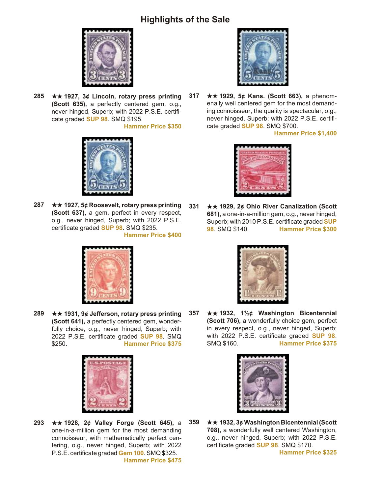

**285** ★★ 1927, 3¢ Lincoln, rotary press printing **(Scott 635),** a perfectly centered gem, o.g., never hinged, Superb; with 2022 P.S.E. certificate graded **SUP 98**. SMQ \$195.

**Hammer Price \$350**



**287** ★★ 1927, 5¢ Roosevelt, rotary press printing **(Scott 637), a gem, perfect in every respect,** o.g., never hinged, Superb; with 2022 P.S.E. certificate graded **SUP 98**. SMQ \$235. **Hammer Price \$400**



**289** ★★ 1931, 9¢ Jefferson, rotary press printing **(Scott 641), a perfectly centered gem, wonder**fully choice, o.g., never hinged, Superb; with 2022 P.S.E. certificate graded **SUP 98**. SMQ \$250. **Hammer Price \$375**



**293** ★★ 1928, 2¢ Valley Forge (Scott 645), a one-in-a-million gem for the most demanding connoisseur, with mathematically perfect centering, o.g., never hinged, Superb; with 2022 P.S.E. certificate graded **Gem 100**. SMQ \$325. **Hammer Price \$475**



**317** ★★ 1929, 5¢ Kans. (Scott 663), a phenomenally well centered gem for the most demanding connoisseur, the quality is spectacular, o.g., never hinged, Superb; with 2022 P.S.E. certificate graded **SUP 98**. SMQ \$700.

**Hammer Price \$1,400**



**331 ★★ 1929, 2¢ Ohio River Canalization (Scott 681), a one-in-a-million gem, o.g., never hinged,** Superb; with 2010 P.S.E. certificate graded **SUP 98**. SMQ \$140. **Hammer Price \$300**



**357** ★★ 1932, 1½¢ Washington Bicentennial **(Scott 706), a wonderfully choice gem, perfect** in every respect, o.g., never hinged, Superb; with 2022 P.S.E. certificate graded **SUP 98**. SMQ \$160. **Hammer Price \$375**



**359 ★★ 1932, 3¢ Washington Bicentennial (Scott** 708), a wonderfully well centered Washington, o.g., never hinged, Superb; with 2022 P.S.E. certificate graded **SUP 98**. SMQ \$170. **Hammer Price \$325**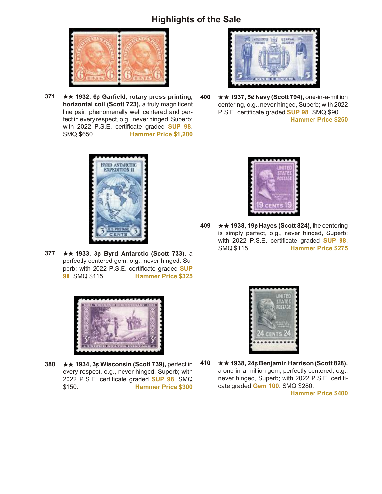

**371** ★★ 1932, 6¢ Garfield, rotary press printing, **horizontal coil (Scott 723), a truly magnificent** line pair, phenomenally well centered and perfect in every respect, o.g., never hinged, Superb; with 2022 P.S.E. certificate graded **SUP 98**. SMQ \$650. **Hammer Price \$1,200**



**400 ★★ 1937, 5¢ Navy (Scott 794), one-in-a-million** centering, o.g., never hinged, Superb; with 2022 P.S.E. certificate graded **SUP 98**. SMQ \$90. **Hammer Price \$250**



**377** ★★ 1933, 3¢ Byrd Antarctic (Scott 733), a perfectly centered gem, o.g., never hinged, Superb; with 2022 P.S.E. certificate graded **SUP 98**. SMQ \$115. **Hammer Price \$325**



**380** ★★ 1934, 3¢ Wisconsin (Scott 739), perfect in every respect, o.g., never hinged, Superb; with 2022 P.S.E. certificate graded **SUP 98**. SMQ \$150. **Hammer Price \$300**



**409 ★★ 1938, 19¢ Hayes (Scott 824), the centering** is simply perfect, o.g., never hinged, Superb; with 2022 P.S.E. certificate graded **SUP 98**. SMQ \$115. **Hammer Price \$275**



**410 ★★ 1938, 24¢ Benjamin Harrison (Scott 828),** a one-in-a-million gem, perfectly centered, o.g., never hinged, Superb; with 2022 P.S.E. certificate graded **Gem 100**. SMQ \$280.

**Hammer Price \$400**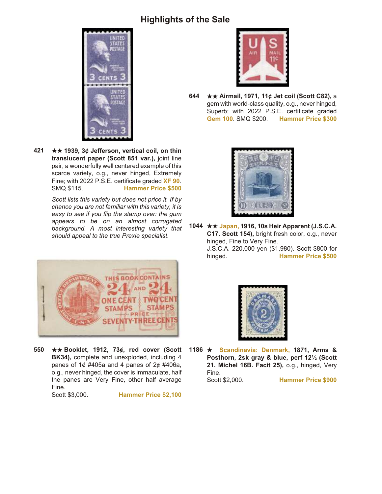

**421** ★★ 1939, 3¢ Jefferson, vertical coil, on thin **trans lu cent pa per (Scott 851 var.),** joint line pair, a wonderfully well centered example of this scarce variety, o.g., never hinged, Extremely Fine; with 2022 P.S.E. certificate graded **XF 90**. SMQ \$115. **Hammer Price \$500**

> *Scott lists this variety but does not price it. If by chance you are not familiar with this variety, it is easy to see if you flip the stamp over: the gum appears to be on an almost corrugated background. A most interesting variety that should appeal to the true Prexie specialist.*



550 **★★ Booklet, 1912, 73¢, red cover (Scott BK34), complete and unexploded, including 4** panes of  $1¢$  #405a and 4 panes of  $2¢$  #406a, o.g., never hinged, the cover is immaculate, half the panes are Very Fine, other half average Fine.<br>Scott \$3,000.

**Hammer Price \$2,100** 



**644** ★★ Airmail, 1971, 11¢ Jet coil (Scott C82), a gem with world-class quality, o.g., never hinged, Superb; with 2022 P.S.E. certificate graded **Gem 100**. SMQ \$200. **Hammer Price \$300**



1044  $\star\star$  **Japan, 1916, 10s Heir Apparent (J.S.C.A. C17. Scott 154),** bright fresh color, o.g., never hinged, Fine to Very Fine. J.S.C.A. 220,000 yen (\$1,980). Scott \$800 for hinged. **Hammer Price \$500**



1186 **\* Scandinavia: Denmark, 1871, Arms & Posthorn, 2sk gray & blue, perf 12½ (Scott 21. Michel 16B. Facit 25),** o.g., hinged, Very Fine.

Scott \$2,000. **Hammer Price \$900**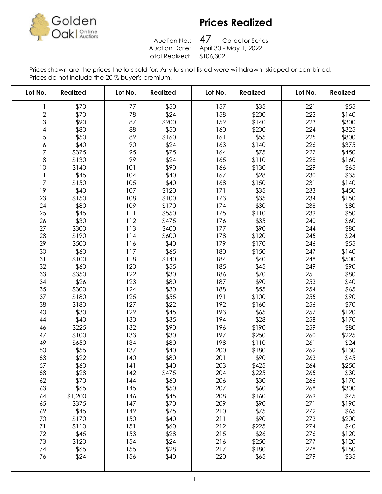

Auction No.: Total Realized: \$106,302

47 Collector Series Auction Date: April 30 - May 1, 2022

| Lot No.        | <b>Realized</b> | Lot No. | <b>Realized</b> | Lot No. | <b>Realized</b> | Lot No. | <b>Realized</b> |
|----------------|-----------------|---------|-----------------|---------|-----------------|---------|-----------------|
| 1              | \$70            | 77      | \$50            | 157     | \$35            | 221     | \$55            |
| $\frac{2}{3}$  | \$70            | 78      | \$24            | 158     | \$200           | 222     | \$140           |
|                | \$90            | 87      | \$900           | 159     | \$140           | 223     | \$300           |
| 4              | \$80            | 88      | \$50            | 160     | \$200           | 224     | \$325           |
| 5              | \$50            | 89      | \$160           | 161     | \$55            | 225     | \$800           |
| 6              | \$40            | 90      | \$24            | 163     | \$140           | 226     | \$375           |
| $\overline{7}$ | \$375           | 95      | \$75            | 164     | \$75            | 227     | \$450           |
| $\,8\,$        | \$130           | 99      | \$24            | 165     | \$110           | 228     | \$160           |
| 10             | \$140           | 101     | \$90            | 166     | \$130           | 229     | \$65            |
| 11             | \$45            | 104     | \$40            | 167     | \$28            | 230     | \$35            |
| 17             | \$150           | 105     | \$40            | 168     | \$150           | 231     | \$140           |
| 19             | \$40            | 107     | \$120           | 171     | \$35            | 233     | \$450           |
| 23             | \$150           | 108     | \$100           | 173     | \$35            | 234     | \$150           |
| 24             | \$80            | 109     | \$170           | 174     | \$30            | 238     | \$80            |
| 25             | \$45            | 111     | \$550           | 175     | \$110           | 239     | \$50            |
| 26             | \$30            | 112     | \$475           | 176     | \$35            | 240     | \$60            |
| 27             | \$300           | 113     | \$400           | 177     | \$90            | 244     | \$80            |
| 28             | \$190           | 114     | \$600           | 178     | \$120           | 245     | \$24            |
| 29             | \$500           | 116     | \$40            | 179     | \$170           | 246     | \$55            |
| 30             | \$60            | 117     | \$65            | 180     | \$150           | 247     | \$140           |
| 31             | \$100           | 118     | \$140           | 184     | \$40            | 248     | \$500           |
| 32             | \$60            | 120     | \$55            | 185     | \$45            | 249     | \$90            |
| 33             | \$350           | 122     | \$30            | 186     | \$70            | 251     | \$80            |
| 34             | \$26            | 123     | \$80            | 187     | \$90            | 253     | \$40            |
| 35             | \$300           | 124     | \$30            | 188     | \$55            | 254     | \$65            |
| 37             | \$180           | 125     | \$55            | 191     | \$100           | 255     | \$90            |
| 38             | \$180           | 127     | \$22            | 192     | \$160           | 256     | \$70            |
| 40             | \$30            | 129     | \$45            | 193     | \$65            | 257     | \$120           |
| 44             | \$40            | 130     | \$35            | 194     | \$28            | 258     | \$170           |
| 46             | \$225           | 132     | \$90            | 196     | \$190           | 259     | \$80            |
| 47             | \$100           | 133     | \$30            | 197     | \$250           | 260     | \$225           |
| 49             | \$650           | 134     | \$80            | 198     | \$110           | 261     | \$24            |
| 50             | \$55            | 137     | \$40            | 200     | \$180           | 262     | \$130           |
| 53             | \$22            | 140     | \$80            | 201     | \$90            | 263     | \$45            |
| 57             | \$60            | 141     | \$40            | 203     | \$425           | 264     | \$250           |
| 58             | \$28            | 142     | \$475           | 204     | \$225           | 265     | \$30            |
| 62             | \$70            | 144     | \$60            | 206     | \$30            | 266     | \$170           |
| 63             | \$65            | 145     | \$50            | 207     | \$60            | 268     | \$300           |
| 64             | \$1,200         | 146     | \$45            | 208     | \$160           | 269     | \$45            |
| 65             | \$375           | 147     | \$70            | 209     | \$90            | 271     | \$190           |
| 69             | \$45            | 149     | \$75            | 210     | \$75            | 272     | \$65            |
| 70             | \$170           | 150     | \$40            | 211     | \$90            | 273     | \$200           |
| 71             | \$110           | 151     | \$60            | 212     | \$225           | 274     | \$40            |
| 72             | \$45            | 153     | \$28            | 215     | \$26            | 276     | \$120           |
| 73             | \$120           | 154     | \$24            | 216     | \$250           | 277     | \$120           |
| 74             | \$65            | 155     | \$28            | 217     | \$180           | 278     | \$150           |
| 76             | \$24            | 156     | \$40            | 220     | \$65            | 279     | \$35            |
|                |                 |         |                 |         |                 |         |                 |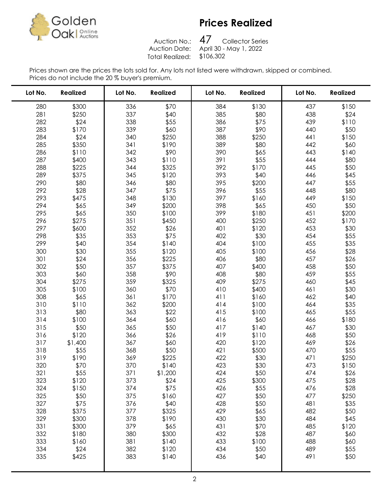

Auction No.: Total Realized: \$106,302

47 Collector Series Auction Date: April 30 - May 1, 2022

| Lot No. | <b>Realized</b> | Lot No. | <b>Realized</b> | Lot No. | <b>Realized</b> | Lot No. | <b>Realized</b> |
|---------|-----------------|---------|-----------------|---------|-----------------|---------|-----------------|
| 280     | \$300           | 336     | \$70            | 384     | \$130           | 437     | \$150           |
| 281     | \$250           | 337     | \$40            | 385     | \$80            | 438     | \$24            |
| 282     | \$24            | 338     | \$55            | 386     | \$75            | 439     | \$110           |
| 283     | \$170           | 339     | \$60            | 387     | \$90            | 440     | \$50            |
| 284     | \$24            | 340     | \$250           | 388     | \$250           | 441     | \$150           |
| 285     | \$350           | 341     | \$190           | 389     | \$80            | 442     | \$60            |
| 286     | \$110           | 342     | \$90            | 390     | \$65            | 443     | \$140           |
| 287     | \$400           | 343     | \$110           | 391     | \$55            | 444     | \$80            |
| 288     | \$225           | 344     | \$325           | 392     | \$170           | 445     | \$50            |
| 289     | \$375           | 345     | \$120           | 393     | \$40            | 446     | \$45            |
| 290     | \$80            | 346     | \$80            | 395     | \$200           | 447     | \$55            |
| 292     | \$28            | 347     | \$75            | 396     | \$55            | 448     | \$80            |
| 293     | \$475           | 348     | \$130           | 397     | \$160           | 449     | \$150           |
| 294     | \$65            | 349     | \$200           | 398     | \$65            | 450     | \$50            |
| 295     | \$65            | 350     | \$100           | 399     | \$180           | 451     | \$200           |
| 296     | \$275           | 351     | \$450           | 400     | \$250           | 452     | \$170           |
| 297     | \$600           | 352     | \$26            | 401     | \$120           | 453     | \$30            |
| 298     | \$35            | 353     | \$75            | 402     | \$30            | 454     | \$55            |
| 299     | \$40            | 354     | \$140           | 404     | \$100           | 455     | \$35            |
| 300     | \$30            | 355     | \$120           | 405     | \$100           | 456     | \$28            |
| 301     | \$24            | 356     | \$225           | 406     | \$80            | 457     | \$26            |
| 302     | \$50            | 357     | \$375           | 407     | \$400           | 458     | \$50            |
| 303     | \$60            | 358     | \$90            | 408     | \$80            | 459     | \$55            |
| 304     | \$275           | 359     | \$325           | 409     | \$275           | 460     | \$45            |
| 305     | \$100           | 360     | \$70            | 410     | \$400           | 461     | \$30            |
| 308     | \$65            | 361     | \$170           | 411     | \$160           | 462     | \$40            |
| 310     | \$110           | 362     | \$200           | 414     | \$100           | 464     | \$35            |
| 313     | \$80            | 363     | \$22            | 415     | \$100           | 465     | \$55            |
| 314     | \$100           | 364     | \$60            | 416     | \$60            | 466     | \$180           |
| 315     | \$50            | 365     | \$50            | 417     | \$140           | 467     | \$30            |
| 316     | \$120           | 366     | \$26            | 419     | \$110           | 468     | \$50            |
| 317     | \$1,400         | 367     | \$60            | 420     | \$120           | 469     | \$26            |
| 318     | \$55            | 368     | \$50            | 421     | \$500           | 470     | \$55            |
| 319     | \$190           | 369     | \$225           | 422     | \$30            | 471     | \$250           |
| 320     | \$70            | 370     | \$140           | 423     | \$30            | 473     | \$150           |
| 321     | \$55            | 371     | \$1,200         | 424     | \$50            | 474     | \$26            |
| 323     | \$120           | 373     | \$24            | 425     | \$300           | 475     | \$28            |
| 324     | \$150           | 374     | \$75            | 426     | \$55            | 476     | \$28            |
| 325     | \$50            | 375     | \$160           | 427     | \$50            | 477     | \$250           |
| 327     | \$75            | 376     | \$40            | 428     | \$50            | 481     | \$35            |
| 328     | \$375           | 377     | \$325           | 429     | \$65            | 482     | \$50            |
| 329     | \$300           | 378     | \$190           | 430     | \$30            | 484     | \$45            |
| 331     | \$300           | 379     | \$65            | 431     | \$70            | 485     | \$120           |
| 332     | \$180           | 380     | \$300           | 432     | \$28            | 487     | \$60            |
| 333     | \$160           | 381     | \$140           | 433     | \$100           | 488     | \$60            |
| 334     | \$24            | 382     | \$120           | 434     | \$50            | 489     | \$55            |
| 335     | \$425           | 383     | \$140           | 436     | \$40            | 491     | \$50            |
|         |                 |         |                 |         |                 |         |                 |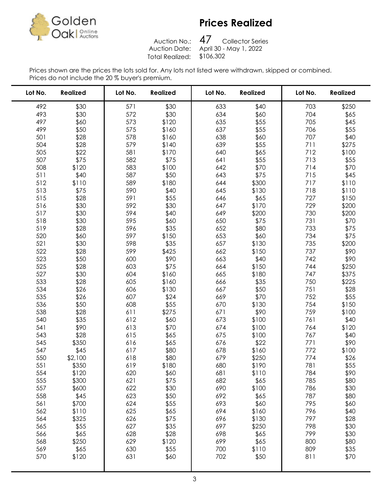

Auction No.: Total Realized: \$106,302

47 Collector Series Auction Date: April 30 - May 1, 2022

| Lot No. | <b>Realized</b> | Lot No. | <b>Realized</b> | Lot No. | <b>Realized</b> | Lot No. | <b>Realized</b> |
|---------|-----------------|---------|-----------------|---------|-----------------|---------|-----------------|
| 492     | \$30            | 571     | \$30            | 633     | \$40            | 703     | \$250           |
| 493     | \$30            | 572     | \$30            | 634     | \$60            | 704     | \$65            |
| 497     | \$60            | 573     | \$120           | 635     | \$55            | 705     | \$45            |
| 499     | \$50            | 575     | \$160           | 637     | \$55            | 706     | \$55            |
| 501     | \$28            | 578     | \$160           | 638     | \$60            | 707     | \$40            |
| 504     | \$28            | 579     | \$140           | 639     | \$55            | 711     | \$275           |
| 505     | \$22            | 581     | \$170           | 640     | \$65            | 712     | \$100           |
| 507     | \$75            | 582     | \$75            | 641     | \$55            | 713     | \$55            |
| 508     | \$120           | 583     | \$100           | 642     | \$70            | 714     | \$70            |
| 511     | \$40            | 587     | \$50            | 643     | \$75            | 715     | \$45            |
| 512     | \$110           | 589     | \$180           | 644     | \$300           | 717     | \$110           |
| 513     | \$75            | 590     | \$40            | 645     | \$130           | 718     | \$110           |
| 515     | \$28            | 591     | \$55            | 646     | \$65            | 727     | \$150           |
| 516     | \$30            | 592     | \$30            | 647     | \$170           | 729     | \$200           |
| 517     | \$30            | 594     | \$40            | 649     | \$200           | 730     | \$200           |
| 518     | \$30            | 595     | \$60            | 650     | \$75            | 731     | \$70            |
| 519     | \$28            | 596     | \$35            | 652     | \$80            | 733     | \$75            |
| 520     | \$60            | 597     | \$150           | 653     | \$60            | 734     | \$75            |
| 521     | \$30            | 598     | \$35            | 657     | \$130           | 735     | \$200           |
| 522     | \$28            | 599     | \$425           | 662     | \$150           | 737     | \$90            |
| 523     | \$50            | 600     | \$90            | 663     | \$40            | 742     | \$90            |
| 525     | \$28            | 603     | \$75            | 664     | \$150           | 744     | \$250           |
| 527     | \$30            | 604     | \$160           | 665     | \$180           | 747     | \$375           |
| 533     | \$28            | 605     | \$160           | 666     | \$35            | 750     | \$225           |
| 534     | \$26            | 606     | \$130           | 667     | \$50            | 751     | \$28            |
| 535     | \$26            | 607     | \$24            | 669     | \$70            | 752     | \$55            |
| 536     | \$50            | 608     | \$55            | 670     | \$130           | 754     | \$150           |
| 538     | \$28            | 611     | \$275           | 671     | \$90            | 759     | \$100           |
| 540     | \$35            | 612     | \$60            | 673     | \$100           | 761     | \$40            |
| 541     | \$90            | 613     | \$70            | 674     | \$100           | 764     | \$120           |
| 543     | \$28            | 615     | \$65            | 675     | \$100           | 767     | \$40            |
| 545     | \$350           | 616     | \$65            | 676     | \$22            | 771     | \$90            |
| 547     | \$45            | 617     | \$80            | 678     | \$160           | 772     | \$100           |
| 550     | \$2,100         | 618     | \$80            | 679     | \$250           | 774     | \$26            |
| 551     | \$350           | 619     | \$180           | 680     | \$190           | 781     | \$55            |
| 554     | \$120           | 620     | \$60            | 681     | \$110           | 784     | \$90            |
| 555     | \$300           | 621     | \$75            | 682     | \$65            | 785     | \$80            |
| 557     | \$600           | 622     | \$30            | 690     | \$100           | 786     | \$30            |
| 558     | \$45            | 623     | \$50            | 692     | \$65            | 787     | \$80            |
| 561     | \$700           | 624     | \$55            | 693     | \$60            | 795     | \$60            |
| 562     | \$110           | 625     | \$65            | 694     | \$160           | 796     | \$40            |
| 564     | \$325           | 626     | \$75            | 696     | \$130           | 797     | \$28            |
| 565     | \$55            | 627     | \$35            | 697     | \$250           | 798     | \$30            |
| 566     | \$65            | 628     | \$28            | 698     | \$65            | 799     | \$30            |
| 568     | \$250           | 629     | \$120           | 699     | \$65            | 800     | \$80            |
| 569     | \$65            | 630     | \$55            | 700     | \$110           | 809     | \$35            |
| 570     | \$120           | 631     | \$60            | 702     | \$50            | 811     | \$70            |
|         |                 |         |                 |         |                 |         |                 |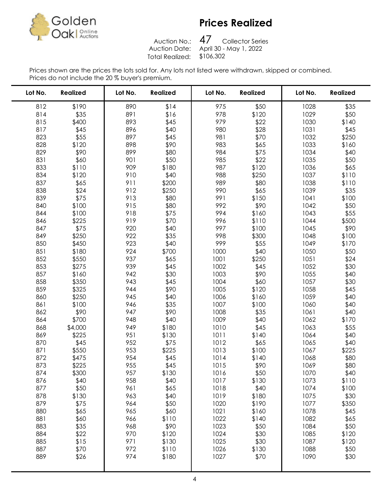

Auction No.: Total Realized: \$106,302

47 Collector Series Auction Date: April 30 - May 1, 2022

| Lot No.    | <b>Realized</b> | Lot No.    | <b>Realized</b> | Lot No.      | <b>Realized</b> | Lot No.      | <b>Realized</b> |
|------------|-----------------|------------|-----------------|--------------|-----------------|--------------|-----------------|
| 812        | \$190           | 890        | \$14            | 975          | \$50            | 1028         | \$35            |
| 814        | \$35            | 891        | \$16            | 978          | \$120           | 1029         | \$50            |
| 815        | \$400           | 893        | \$45            | 979          | \$22            | 1030         | \$140           |
| 817        | \$45            | 896        | \$40            | 980          | \$28            | 1031         | \$45            |
| 823        | \$55            | 897        | \$45            | 981          | \$70            | 1032         | \$250           |
| 828        | \$120           | 898        | \$90            | 983          | \$65            | 1033         | \$160           |
| 829        | \$90            | 899        | \$80            | 984          | \$75            | 1034         | \$40            |
| 831        | \$60            | 901        | \$50            | 985          | \$22            | 1035         | \$50            |
| 833        | \$110           | 909        | \$180           | 987          | \$120           | 1036         | \$65            |
| 834        | \$120           | 910        | \$40            | 988          | \$250           | 1037         | \$110           |
| 837        | \$65            | 911        | \$200           | 989          | \$80            | 1038         | \$110           |
| 838        | \$24            | 912        | \$250           | 990          | \$65            | 1039         | \$35            |
| 839        | \$75            | 913        | \$80            | 991          | \$150           | 1041         | \$100           |
| 840        | \$100           | 915        | \$80            | 992          | \$90            | 1042         | \$50            |
| 844        | \$100           | 918        | \$75            | 994          | \$160           | 1043         | \$55            |
| 846        | \$225           | 919        | \$70            | 996          | \$110           | 1044         | \$500           |
| 847        | \$75            | 920        | \$40            | 997          | \$100           | 1045         | \$90            |
| 849        | \$250           | 922        | \$35            | 998          | \$300           | 1048         | \$100           |
| 850        | \$450           | 923        | \$40            | 999          | \$55            | 1049         | \$170           |
| 851        | \$180           | 924        | \$700           | 1000         | \$40            | 1050         | \$50            |
| 852        | \$550           | 937        | \$65            | 1001         | \$250           | 1051         | \$24            |
| 853        | \$275           | 939        | \$45            | 1002         | \$45            | 1052         | \$30            |
| 857        | \$160           | 942        | \$30            | 1003         | \$90            | 1055         | \$40            |
| 858        | \$350           | 943        | \$45            | 1004         | \$60            | 1057         | \$30            |
| 859        | \$325           | 944        | \$90            | 1005         | \$120           | 1058         | \$45            |
| 860        | \$250           | 945        | \$40            | 1006         | \$160           | 1059         | \$40            |
| 861        | \$100           | 946        | \$35            | 1007         | \$100           | 1060         | \$40            |
| 862        | \$90            | 947        | \$90            | 1008         | \$35            | 1061         | \$40            |
| 864        | \$700           | 948        | \$40            | 1009         | \$40            | 1062         | \$170           |
| 868        | \$4,000         | 949        | \$180           | 1010         | \$45            | 1063         | \$55            |
| 869        | \$225           | 951        | \$130           | 1011         | \$140           | 1064         | \$40            |
| 870<br>871 | \$45<br>\$550   | 952<br>953 | \$75            | 1012<br>1013 | \$65<br>\$100   | 1065<br>1067 | \$40            |
| 872        | \$475           | 954        | \$225<br>\$45   | 1014         | \$140           | 1068         | \$225<br>\$80   |
| 873        | \$225           | 955        | \$45            | 1015         | \$90            | 1069         | \$80            |
| 874        | \$300           | 957        | \$130           | 1016         | \$50            | 1070         | \$40            |
| 876        | \$40            | 958        | \$40            | 1017         | \$130           | 1073         | \$110           |
| 877        | \$50            | 961        | \$65            | 1018         | \$40            | 1074         | \$100           |
| 878        | \$130           | 963        | \$40            | 1019         | \$180           | 1075         | \$30            |
| 879        | \$75            | 964        | \$50            | 1020         | \$190           | 1077         | \$350           |
| 880        | \$65            | 965        | \$60            | 1021         | \$160           | 1078         | \$45            |
| 881        | \$60            | 966        | \$110           | 1022         | \$140           | 1082         | \$65            |
| 883        | \$35            | 968        | \$90            | 1023         | \$50            | 1084         | \$50            |
| 884        | \$22            | 970        | \$120           | 1024         | \$30            | 1085         | \$120           |
| 885        | \$15            | 971        | \$130           | 1025         | \$30            | 1087         | \$120           |
| 887        | \$70            | 972        | \$110           | 1026         | \$130           | 1088         | \$50            |
| 889        | \$26            | 974        | \$180           | 1027         | \$70            | 1090         | \$30            |
|            |                 |            |                 |              |                 |              |                 |